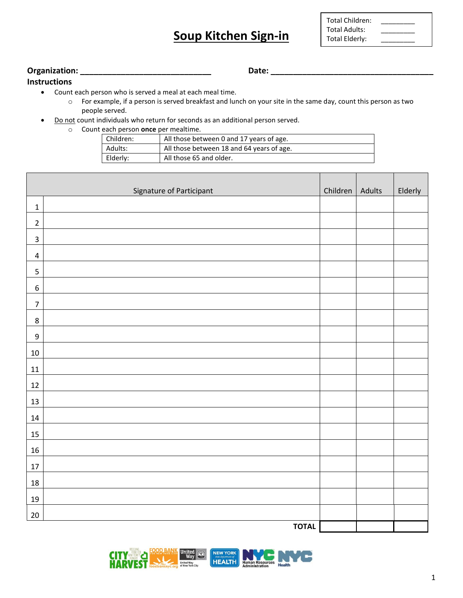## **Soup Kitchen Sign-in**

| <b>Total Children:</b> |  |
|------------------------|--|
| Total Adults:          |  |
| <b>Total Elderly:</b>  |  |

T

## **Organization: \_\_\_\_\_\_\_\_\_\_\_\_\_\_\_\_\_\_\_\_\_\_\_\_\_\_\_\_\_ Date: \_\_\_\_\_\_\_\_\_\_\_\_\_\_\_\_\_\_\_\_\_\_\_\_\_\_\_\_\_\_\_\_\_\_\_\_**

**Instructions**

- Count each person who is served a meal at each meal time.
	- o For example, if a person is served breakfast and lunch on your site in the same day, count this person as two people served.
- Do not count individuals who return for seconds as an additional person served.
	- o Count each person **once** per mealtime.

| Children: | All those between 0 and 17 years of age.  |
|-----------|-------------------------------------------|
| Adults:   | All those between 18 and 64 years of age. |
| Elderly:  | All those 65 and older.                   |

| Signature of Participant |              | Children   Adults | Elderly |
|--------------------------|--------------|-------------------|---------|
| $\mathbf 1$              |              |                   |         |
| $\mathbf 2$              |              |                   |         |
| $\mathsf 3$              |              |                   |         |
| $\pmb{4}$                |              |                   |         |
| 5                        |              |                   |         |
| $\boldsymbol{6}$         |              |                   |         |
| $\boldsymbol{7}$         |              |                   |         |
| $\,8\,$                  |              |                   |         |
| $\boldsymbol{9}$         |              |                   |         |
| $10\,$                   |              |                   |         |
| 11                       |              |                   |         |
| $12\,$                   |              |                   |         |
| 13                       |              |                   |         |
| $14\,$                   |              |                   |         |
| 15                       |              |                   |         |
| $16\,$                   |              |                   |         |
| $17\,$                   |              |                   |         |
| $18\,$                   |              |                   |         |
| $19\,$                   |              |                   |         |
| $20\,$                   |              |                   |         |
|                          | <b>TOTAL</b> |                   |         |